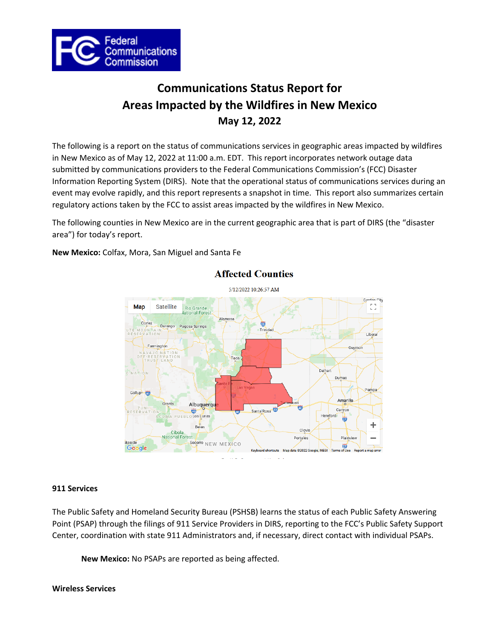

# **Communications Status Report for Areas Impacted by the Wildfires in New Mexico May 12, 2022**

The following is a report on the status of communications services in geographic areas impacted by wildfires in New Mexico as of May 12, 2022 at 11:00 a.m. EDT. This report incorporates network outage data submitted by communications providers to the Federal Communications Commission's (FCC) Disaster Information Reporting System (DIRS). Note that the operational status of communications services during an event may evolve rapidly, and this report represents a snapshot in time. This report also summarizes certain regulatory actions taken by the FCC to assist areas impacted by the wildfires in New Mexico.

The following counties in New Mexico are in the current geographic area that is part of DIRS (the "disaster area") for today's report.

**New Mexico:** Colfax, Mora, San Miguel and Santa Fe



# **Affected Counties**

## **911 Services**

The Public Safety and Homeland Security Bureau (PSHSB) learns the status of each Public Safety Answering Point (PSAP) through the filings of 911 Service Providers in DIRS, reporting to the FCC's Public Safety Support Center, coordination with state 911 Administrators and, if necessary, direct contact with individual PSAPs.

**New Mexico:** No PSAPs are reported as being affected.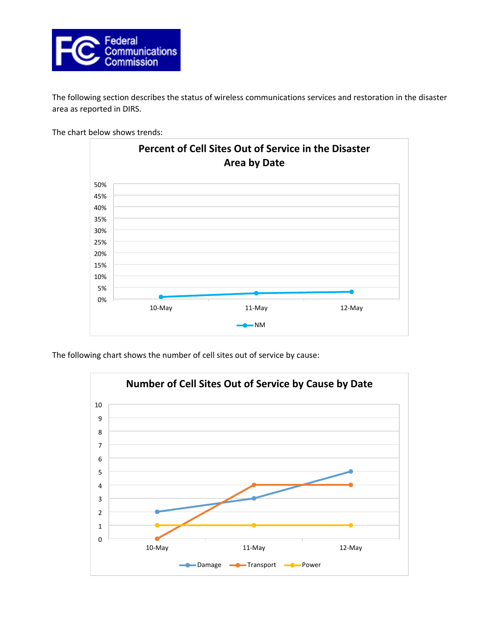

The following section describes the status of wireless communications services and restoration in the disaster area as reported in DIRS.

The chart below shows trends:



The following chart shows the number of cell sites out of service by cause:

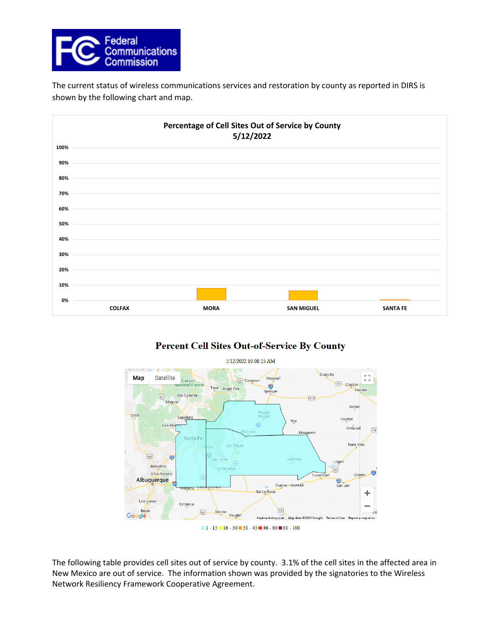

The current status of wireless communications services and restoration by county as reported in DIRS is shown by the following chart and map.



# **Percent Cell Sites Out-of-Service By County**



The following table provides cell sites out of service by county. 3.1% of the cell sites in the affected area in New Mexico are out of service. The information shown was provided by the signatories to the Wireless Network Resiliency Framework Cooperative Agreement.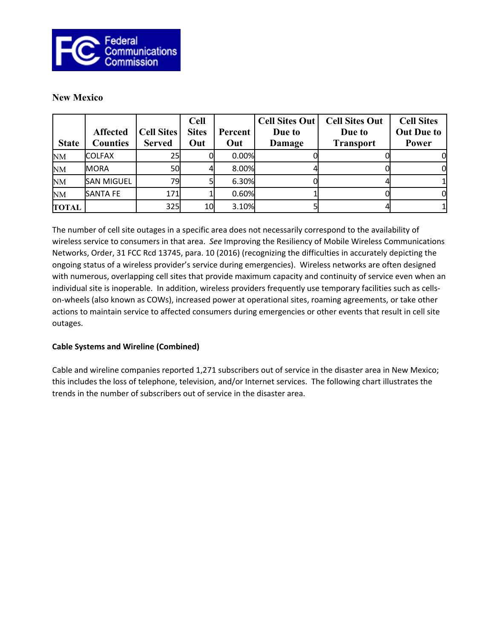

# **New Mexico**

| <b>State</b> | <b>Affected</b><br><b>Counties</b> | <b>Cell Sites</b><br><b>Served</b> | <b>Cell</b><br><b>Sites</b><br>Out | Percent<br>Out | <b>Cell Sites Out</b><br>Due to<br>Damage | <b>Cell Sites Out</b><br>Due to<br><b>Transport</b> | <b>Cell Sites</b><br><b>Out Due to</b><br>Power |
|--------------|------------------------------------|------------------------------------|------------------------------------|----------------|-------------------------------------------|-----------------------------------------------------|-------------------------------------------------|
| <b>NM</b>    | <b>ICOLFAX</b>                     | 25                                 |                                    | 0.00%          |                                           |                                                     |                                                 |
| <b>NM</b>    | MORA                               | <b>50</b>                          |                                    | 8.00%          |                                           |                                                     | OI                                              |
| <b>NM</b>    | <b>SAN MIGUEL</b>                  | 79I                                |                                    | 6.30%          |                                           |                                                     |                                                 |
| <b>NM</b>    | <b>SANTA FE</b>                    | 171                                |                                    | 0.60%          |                                           |                                                     | OI                                              |
| <b>TOTAL</b> |                                    | <b>325</b>                         | 10                                 | 3.10%          |                                           |                                                     |                                                 |

The number of cell site outages in a specific area does not necessarily correspond to the availability of wireless service to consumers in that area. *See* Improving the Resiliency of Mobile Wireless Communications Networks, Order, 31 FCC Rcd 13745, para. 10 (2016) (recognizing the difficulties in accurately depicting the ongoing status of a wireless provider's service during emergencies). Wireless networks are often designed with numerous, overlapping cell sites that provide maximum capacity and continuity of service even when an individual site is inoperable. In addition, wireless providers frequently use temporary facilities such as cellson-wheels (also known as COWs), increased power at operational sites, roaming agreements, or take other actions to maintain service to affected consumers during emergencies or other events that result in cell site outages.

# **Cable Systems and Wireline (Combined)**

Cable and wireline companies reported 1,271 subscribers out of service in the disaster area in New Mexico; this includes the loss of telephone, television, and/or Internet services. The following chart illustrates the trends in the number of subscribers out of service in the disaster area.